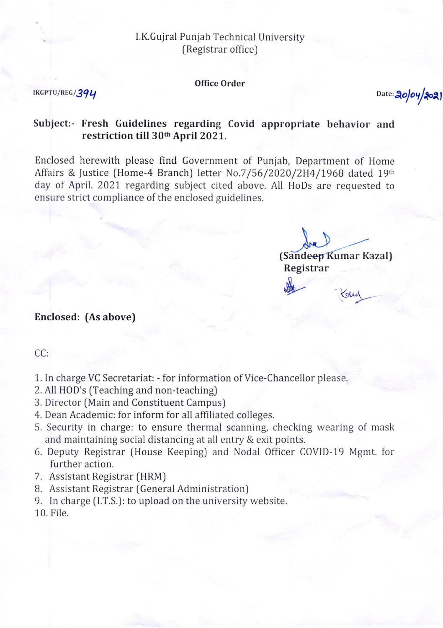## I.K.Gujral Punjab Technical University (Registrar office)

#### Office Order

### $IKGPTU/REG/394$

 $Date:20/04/202$ 

(Sandeep Kumar Kazal)

@;-

Registrar

&-

# Subject:- Fresh Guidelines regarding Covid appropriate behavior and restriction till 3Oth April 2021.

Enclosed herewith please find Government of Punjab, Department of Home Affairs & Justice (Home-4 Branch) letter No.7/56/2020/2H4/1968 dated 19th day of April. 2021 regarding subject cited above. All HoDs are requested to ensure strict compliance of the enclosed guidelines.

#### Enclosed: (As above)

CC:

- 1. In charge VC Secretariat: for information of Vice-Chancellor please,
- 2. All HOD's (Teaching and non-teaching)
- 3. Director (Main and Constituent Campus)
- 4. Dean Academic: for inform for all affiliated colleges.
- 5. Security in charge: to ensure thermal scanning, checking wearing of mask and maintaining social distancing at all entry & exit points.
- 6. Deputy Registrar (House Keeping) and Nodal Officer COVID-19 Mgmt. for further action.
- 7. Assistant Registrar [HRM)
- B. Assistant Registrar [General Administration)
- 9. In charge (l.T.S.): to upload on the university website.

10. File.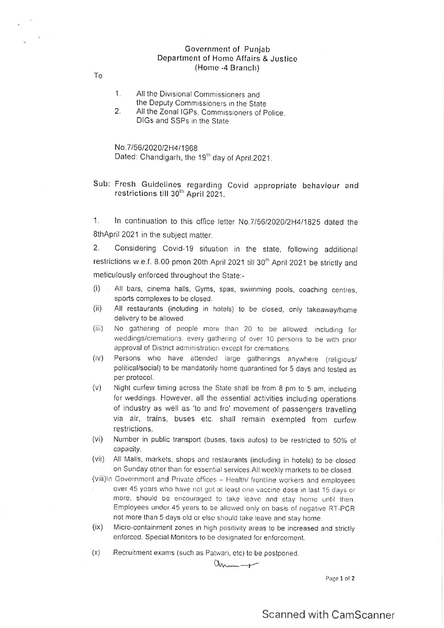#### Government of Punjab Department of Home Affairs & Justice (Home -4 Branch)

To

- $1<sub>1</sub>$ All the Divisional Commissioners and the Deputy Commissioners in the State
- $2.$ All the Zonal IGPs, Commissioners of Police. DIGs and SSPs in the State

No.7/56/2020/2H4/1968 Dated: Chandigarh, the 19<sup>th</sup> day of April 2021.

Sub: Fresh Guidelines regarding Covid appropriate behaviour and restrictions till 30<sup>th</sup> April 2021.

 $1.$ In continuation to this office letter No.7/56/2020/2H4/1825 dated the 8thApril 2021 in the subject matter.

 $\overline{2}$ . Considering Covid-19 situation in the state, following additional restrictions w.e.f. 8.00 pmon 20th April 2021 till 30<sup>th</sup> April 2021 be strictly and meticulously enforced throughout the State:-

- $(i)$ All bars, cinema halls, Gyms, spas, swimming pools, coaching centres. sports complexes to be closed.
- $(ii)$ All restaurants (including in hotels) to be closed, only takeaway/home delivery to be allowed.
- No gathering of people more than 20 to be allowed; including for  $(iii)$ weddings/cremations; every gathering of over 10 persons to be with prior approval of District administration except for cremations.
- Persons who have attended large gatherings anywhere (religious/  $(iv)$ political/social) to be mandatorily home quarantined for 5 days and tested as per protocol.
- Night curfew timing across the State shall be from 8 pm to 5 am, including  $(v)$ for weddings. However, all the essential activities including operations of industry as well as 'to and fro' movement of passengers travelling via air, trains, buses etc. shall remain exempted from curfew restrictions.
- $(vi)$ Number in public transport (buses, taxis autos) to be restricted to 50% of capacity.
- (vii) All Malls, markets, shops and restaurants (including in hotels) to be closed on Sunday other than for essential services. All weekly markets to be closed.
- (viii)In Government and Private offices Health/ frontline workers and employees over 45 years who have not got at least one vaccine dose in last 15 days or more, should be encouraged to take leave and stay home until then. Employees under 45 years to be allowed only on basis of negative RT-PCR not more than 5 days old or else should take leave and stay home.
- $(ix)$ Micro-containment zones in high positivity areas to be increased and strictly enforced. Special Monitors to be designated for enforcement.
- $(x)$ Recruitment exams (such as Patwari, etc) to be postponed.

 $0$ mm $\rightarrow$ 

Page 1 of 2

# **Scanned with CamScanner**